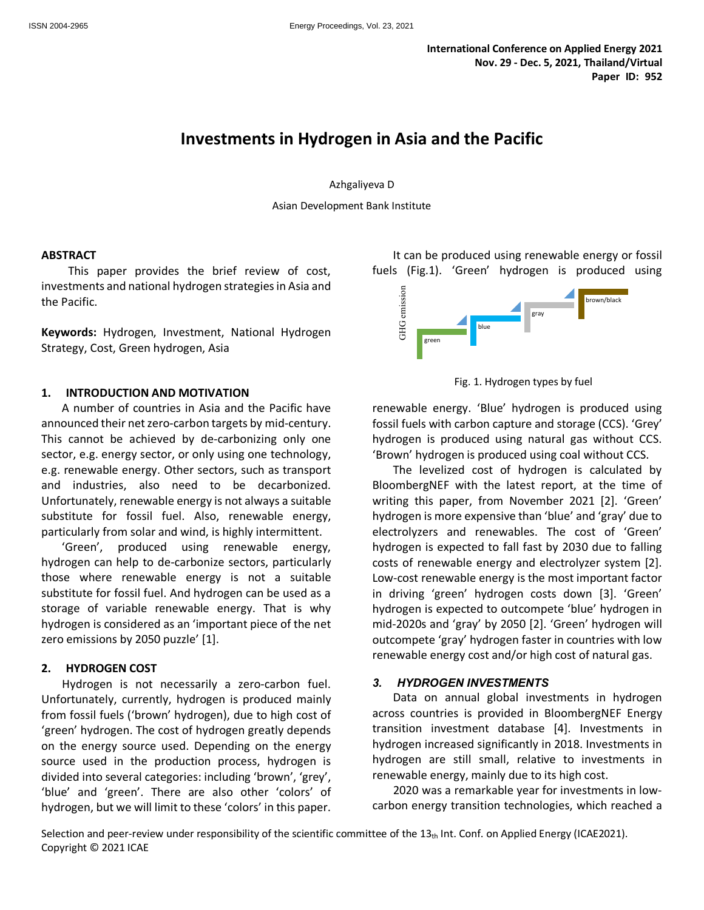# **Investments in Hydrogen in Asia and the Pacific**

Azhgaliyeva D

Asian Development Bank Institute

#### **ABSTRACT**

This paper provides the brief review of cost, investments and national hydrogen strategies in Asia and the Pacific.

**Keywords:** Hydrogen, Investment, National Hydrogen Strategy, Cost, Green hydrogen, Asia

#### **1. INTRODUCTION AND MOTIVATION**

A number of countries in Asia and the Pacific have announced their net zero-carbon targets by mid-century. This cannot be achieved by de-carbonizing only one sector, e.g. energy sector, or only using one technology, e.g. renewable energy. Other sectors, such as transport and industries, also need to be decarbonized. Unfortunately, renewable energy is not always a suitable substitute for fossil fuel. Also, renewable energy, particularly from solar and wind, is highly intermittent.

'Green', produced using renewable energy, hydrogen can help to de-carbonize sectors, particularly those where renewable energy is not a suitable substitute for fossil fuel. And hydrogen can be used as a storage of variable renewable energy. That is why hydrogen is considered as an 'important piece of the net zero emissions by 2050 puzzle' [1].

#### **2. HYDROGEN COST**

Hydrogen is not necessarily a zero-carbon fuel. Unfortunately, currently, hydrogen is produced mainly from fossil fuels ('brown' hydrogen), due to high cost of 'green' hydrogen. The cost of hydrogen greatly depends on the energy source used. Depending on the energy source used in the production process, hydrogen is divided into several categories: including 'brown', 'grey', 'blue' and 'green'. There are also other 'colors' of hydrogen, but we will limit to these 'colors' in this paper.

It can be produced using renewable energy or fossil fuels (Fig.1). 'Green' hydrogen is produced using



Fig. 1. Hydrogen types by fuel

renewable energy. 'Blue' hydrogen is produced using fossil fuels with carbon capture and storage (CCS). 'Grey' hydrogen is produced using natural gas without CCS. 'Brown' hydrogen is produced using coal without CCS.

The levelized cost of hydrogen is calculated by BloombergNEF with the latest report, at the time of writing this paper, from November 2021 [2]. 'Green' hydrogen is more expensive than 'blue' and 'gray' due to electrolyzers and renewables. The cost of 'Green' hydrogen is expected to fall fast by 2030 due to falling costs of renewable energy and electrolyzer system [2]. Low-cost renewable energy is the most important factor in driving 'green' hydrogen costs down [3]. 'Green' hydrogen is expected to outcompete 'blue' hydrogen in mid-2020s and 'gray' by 2050 [2]. 'Green' hydrogen will outcompete 'gray' hydrogen faster in countries with low renewable energy cost and/or high cost of natural gas.

#### *3. HYDROGEN INVESTMENTS*

Data on annual global investments in hydrogen across countries is provided in BloombergNEF Energy transition investment database [4]. Investments in hydrogen increased significantly in 2018. Investments in hydrogen are still small, relative to investments in renewable energy, mainly due to its high cost.

2020 was a remarkable year for investments in lowcarbon energy transition technologies, which reached a

Selection and peer-review under responsibility of the scientific committee of the  $13<sub>th</sub>$  Int. Conf. on Applied Energy (ICAE2021). Copyright © 2021 ICAE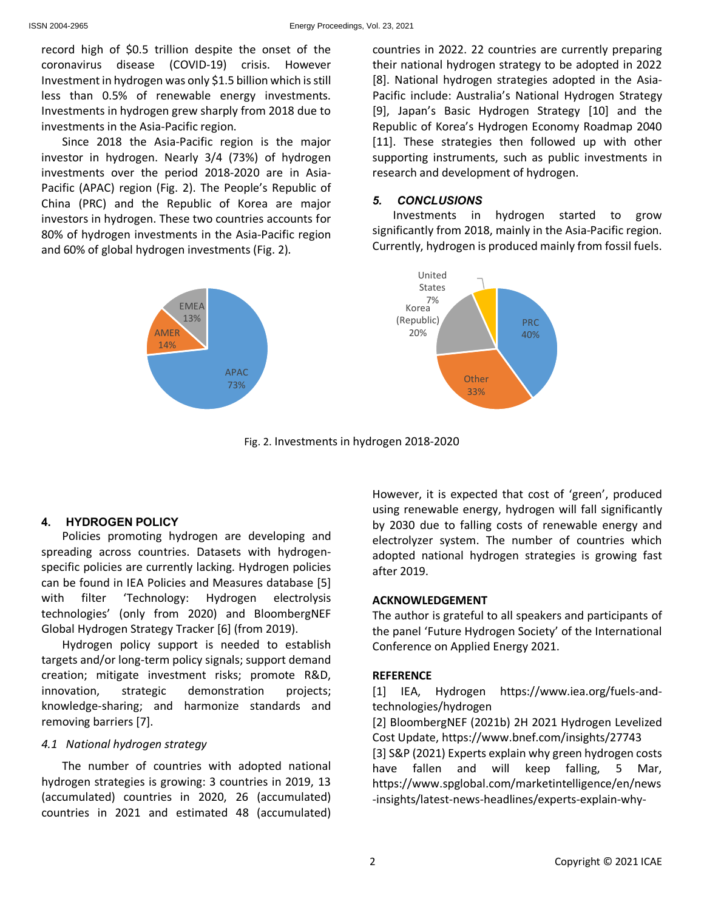record high of \$0.5 trillion despite the onset of the coronavirus disease (COVID-19) crisis. However Investment in hydrogen was only \$1.5 billion which is still less than 0.5% of renewable energy investments. Investments in hydrogen grew sharply from 2018 due to investments in the Asia-Pacific region.

Since 2018 the Asia-Pacific region is the major investor in hydrogen. Nearly 3/4 (73%) of hydrogen investments over the period 2018-2020 are in Asia-Pacific (APAC) region (Fig. 2). The People's Republic of China (PRC) and the Republic of Korea are major investors in hydrogen. These two countries accounts for 80% of hydrogen investments in the Asia-Pacific region and 60% of global hydrogen investments (Fig. 2)*.*



countries in 2022. 22 countries are currently preparing their national hydrogen strategy to be adopted in 2022 [8]. National hydrogen strategies adopted in the Asia-Pacific include: Australia's National Hydrogen Strategy [9], Japan's Basic Hydrogen Strategy [10] and the Republic of Korea's Hydrogen Economy Roadmap 2040 [11]. These strategies then followed up with other supporting instruments, such as public investments in research and development of hydrogen.

# *5. CONCLUSIONS*

Investments in hydrogen started to grow significantly from 2018, mainly in the Asia-Pacific region. Currently, hydrogen is produced mainly from fossil fuels.



Fig. 2. Investments in hydrogen 2018-2020

# **4. HYDROGEN POLICY**

Policies promoting hydrogen are developing and spreading across countries. Datasets with hydrogenspecific policies are currently lacking. Hydrogen policies can be found in IEA Policies and Measures database [5] with filter 'Technology: Hydrogen electrolysis technologies' (only from 2020) and BloombergNEF Global Hydrogen Strategy Tracker [6] (from 2019).

Hydrogen policy support is needed to establish targets and/or long-term policy signals; support demand creation; mitigate investment risks; promote R&D, innovation, strategic demonstration projects; knowledge-sharing; and harmonize standards and removing barriers [7].

#### *4.1 National hydrogen strategy*

The number of countries with adopted national hydrogen strategies is growing: 3 countries in 2019, 13 (accumulated) countries in 2020, 26 (accumulated) countries in 2021 and estimated 48 (accumulated) However, it is expected that cost of 'green', produced using renewable energy, hydrogen will fall significantly by 2030 due to falling costs of renewable energy and electrolyzer system. The number of countries which adopted national hydrogen strategies is growing fast after 2019.

# **ACKNOWLEDGEMENT**

The author is grateful to all speakers and participants of the panel 'Future Hydrogen Society' of the International Conference on Applied Energy 2021.

# **REFERENCE**

[1] IEA, Hydrogen https://www.iea.org/fuels-andtechnologies/hydrogen

[2] BloombergNEF (2021b) 2H 2021 Hydrogen Levelized Cost Update, https://www.bnef.com/insights/27743 [3] S&P (2021) Experts explain why green hydrogen costs

have fallen and will keep falling, 5 Mar, https://www.spglobal.com/marketintelligence/en/news -insights/latest-news-headlines/experts-explain-why